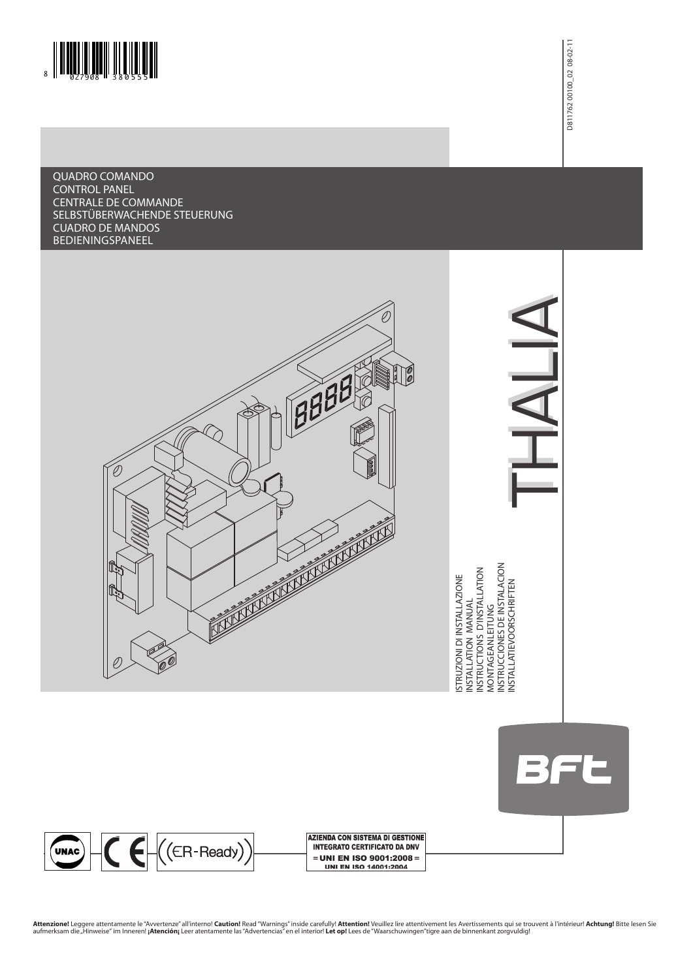

QUADRO COMANDO CONTROL PANEL CENTRALE DE COMMANDE SELBSTÜBERWACHENDE STEUERUNG CUADRO DE MANDOS Bedieningspaneel



THALIA INSTALLATIEVOORSCHRIFTEN THALIA

BFL

UNAC C ((ER-Ready)

**AZIENDA CON SISTEMA DI GESTIONE INTEGRATO CERTIFICATO DA DNV** = UNI EN ISO 9001:2008 = **UNI EN ISO 14001:2004** 

**Attenzione!** Leggere attentamente le "Avvertenze" all'interno! **Caution!** Read "Warnings" inside carefully! **Attention!** Veuillez lire attentivement les Avertissements qui se trouvent à l'intérieur! **Achtung!** Bitte lesen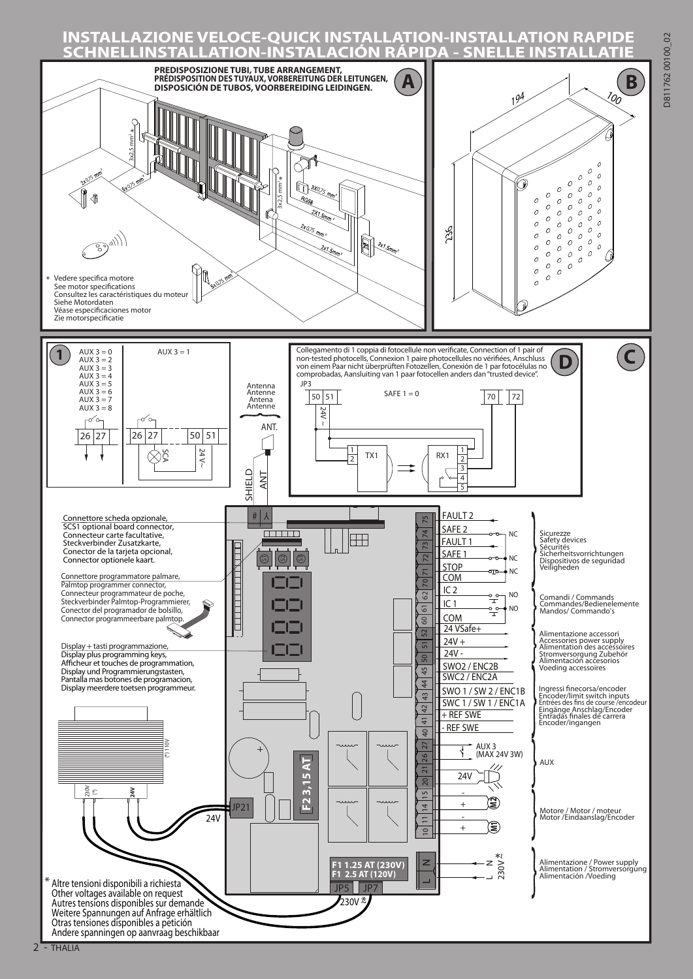## **INSTALLAZIONE VELOCE-QUICK INSTALLATION-INSTALLATION RAPIDE SCHNELLINSTALLATION-INSTALACIÓN RÁPIDA - SNELLE INSTALLATIE**

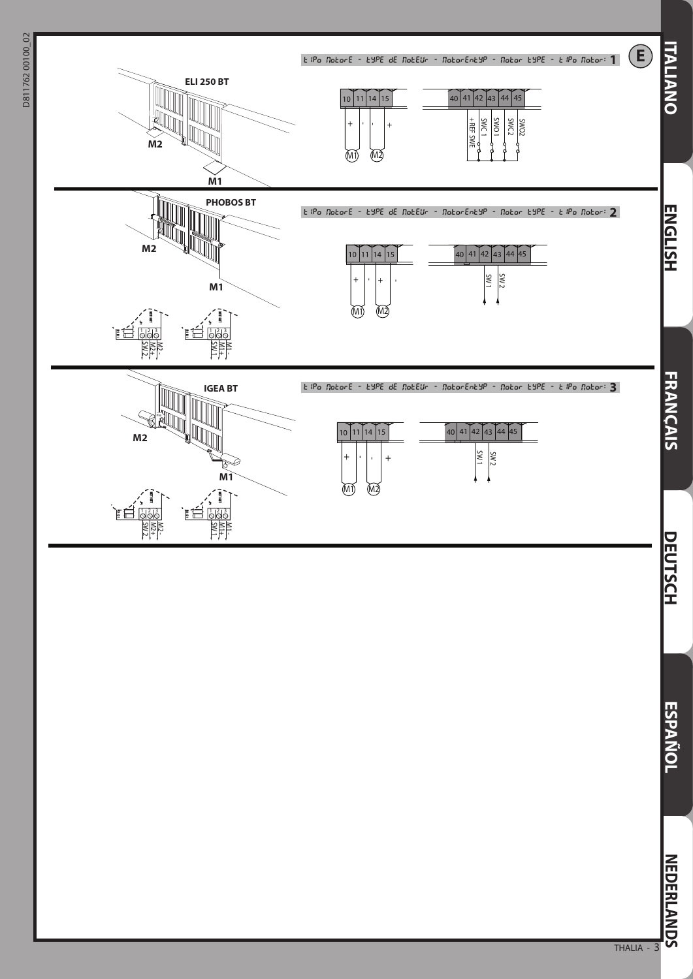

THALIA - 3

**ESPAÑOL**

**NEDERLANDS**

**NEDERLANDS**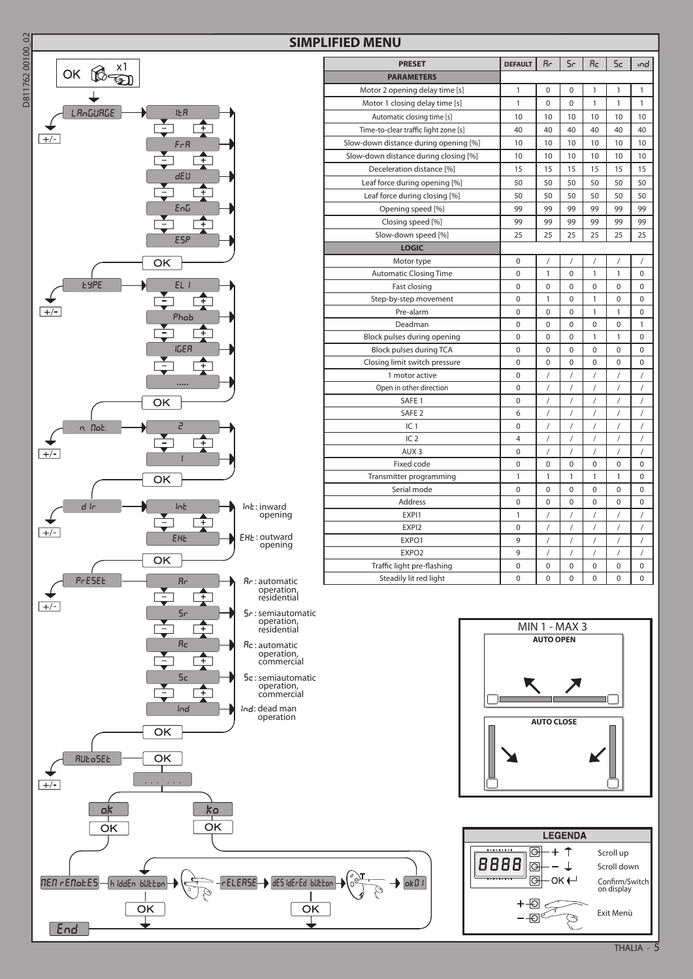

| <b>FIED MENU</b>                      |                |                |                |             |                |             |  |
|---------------------------------------|----------------|----------------|----------------|-------------|----------------|-------------|--|
| <b>PRESET</b>                         | <b>DEFAULT</b> | Rг             | 5r             | Яc          | 5c             | ൻ           |  |
| <b>PARAMETERS</b>                     |                |                |                |             |                |             |  |
| Motor 2 opening delay time [s]        | 1              | 0              | 0              | 1           | 1              | 1           |  |
| Motor 1 closing delay time [s]        | 1              | $\Omega$       | 0              | 1           | 1              | 1           |  |
| Automatic closing time [s]            | 10             | 10             | 10             | 10          | 10             | 10          |  |
| Time-to-clear traffic light zone [s]  | 40             | 40             | 40             | 40          | 40             | 40          |  |
| Slow-down distance during opening [%] | 10             | 10             | 10             | 10          | 10             | 10          |  |
| Slow-down distance during closing [%] | 10             | 10             | 10             | 10          | 10             | 10          |  |
| Deceleration distance [%]             | 15             | 15             | 15             | 15          | 15             | 15          |  |
| Leaf force during opening [%]         | 50             | 50             | 50             | 50          | 50             | 50          |  |
| Leaf force during closing [%]         | 50             | 50             | 50             | 50          | 50             | 50          |  |
| Opening speed [%}                     | 99             | 99             | 99             | 99          | 99             | 99          |  |
| Closing speed [%]                     | 99             | 99             | 99             | 99          | 99             | 99          |  |
| Slow-down speed [%]                   | 25             | 25             | 25             | 25          | 25             | 25          |  |
| <b>LOGIC</b>                          |                |                |                |             |                |             |  |
| Motor type                            | $\mathbf 0$    | $\prime$       | /              | $\sqrt{2}$  | $\sqrt{2}$     | $\prime$    |  |
| <b>Automatic Closing Time</b>         | $\mathbf 0$    | 1              | 0              | 1           | 1              | 0           |  |
| Fast closing                          | $\mathbf 0$    | 0              | 0              | 0           | 0              | 0           |  |
| Step-by-step movement                 | $\mathbf 0$    | 1              | 0              | 1           | $\mathbf 0$    | 0           |  |
| Pre-alarm                             | $\mathbf{0}$   | $\Omega$       | 0              | 1           | 1              | $\Omega$    |  |
| Deadman                               | $\mathbf 0$    | 0              | 0              | 0           | 0              | 1           |  |
| Block pulses during opening           | $\mathbf 0$    | 0              | 0              | 1           | 1              | 0           |  |
| Block pulses during TCA               | $\mathbf 0$    | $\overline{0}$ | 0              | $\mathbf 0$ | $\mathbf 0$    | $\Omega$    |  |
| Closing limit switch pressure         | $\mathbf 0$    | 0              | 0              | 0           | 0              | 0           |  |
| 1 motor active                        | $\mathbf 0$    | 7              | $\prime$       | $\prime$    | 1              | 7           |  |
| Open in other direction               | 0              | $\sqrt{2}$     | $\overline{1}$ | $\sqrt{2}$  | $\prime$       | 1           |  |
| SAFE <sub>1</sub>                     | $\mathbf 0$    | $\sqrt{2}$     | $\sqrt{2}$     | $\sqrt{2}$  | $\sqrt{2}$     | /           |  |
| SAFE <sub>2</sub>                     | 6              | $\sqrt{2}$     | $\sqrt{2}$     | $\sqrt{2}$  | $\sqrt{2}$     | /           |  |
| IC <sub>1</sub>                       | $\mathbf 0$    | 1              | /              | 1           | /              | 1           |  |
| IC <sub>2</sub>                       | $\overline{4}$ | $\overline{1}$ | $\overline{1}$ | $\prime$    | $\overline{1}$ | $\prime$    |  |
| AUX <sub>3</sub>                      | $\mathbf 0$    | $\sqrt{2}$     | $\sqrt{2}$     | $\sqrt{2}$  | $\sqrt{2}$     | 1           |  |
| Fixed code                            | $\mathbf{0}$   | $\Omega$       | 0              | 0           | $\Omega$       | $\Omega$    |  |
| Transmitter programming               | 1              | 1              | 1              | 1           | 1              | 0           |  |
| Serial mode                           | $\mathbf 0$    | 0              | 0              | 0           | 0              | 0           |  |
| Address                               | $\mathbf 0$    | 0              | 0              | 0           | 0              | 0           |  |
| EXPI1                                 | 1              | /              | $\sqrt{2}$     | $\prime$    | /              | /           |  |
| EXPI2                                 | $\mathbf 0$    | $\overline{1}$ | $\overline{1}$ | $\sqrt{2}$  | $\prime$       | $\prime$    |  |
| EXPO1                                 | 9              | $\sqrt{2}$     | $\sqrt{2}$     | $\sqrt{2}$  | $\sqrt{2}$     | /           |  |
| EXPO <sub>2</sub>                     | 9              | /              | /              | $\prime$    | /              | 7           |  |
| Traffic light pre-flashing            | $\mathbf 0$    | 0              | 0              | 0           | 0              | 0           |  |
| Steadily lit red light                | $\mathbf 0$    | 0              | 0              | 0           | 0              | $\mathbf 0$ |  |





 $\rightarrow$   $\overline{0k01}$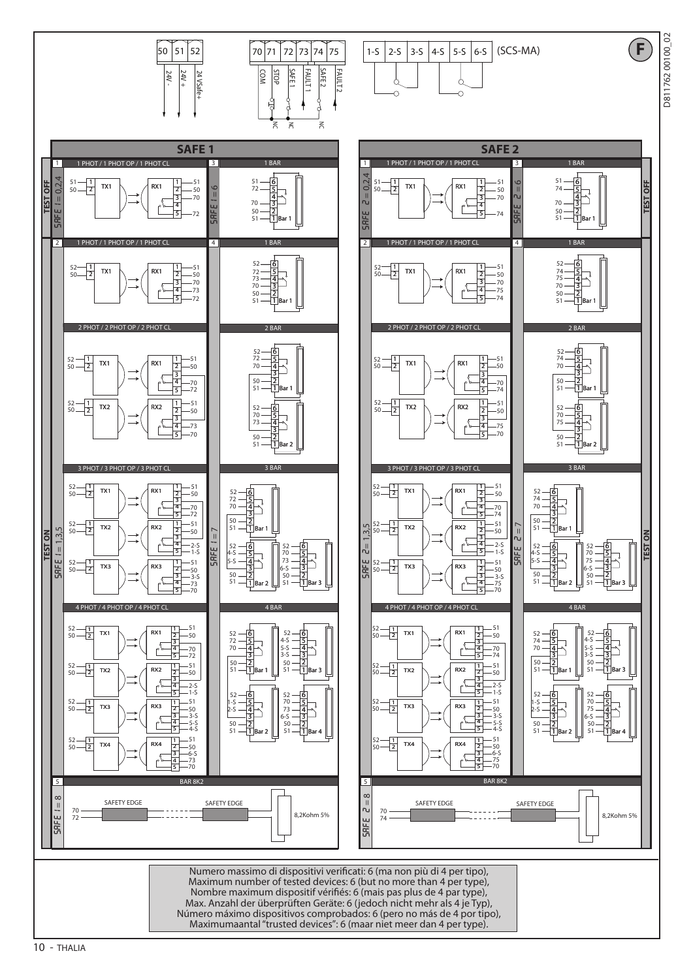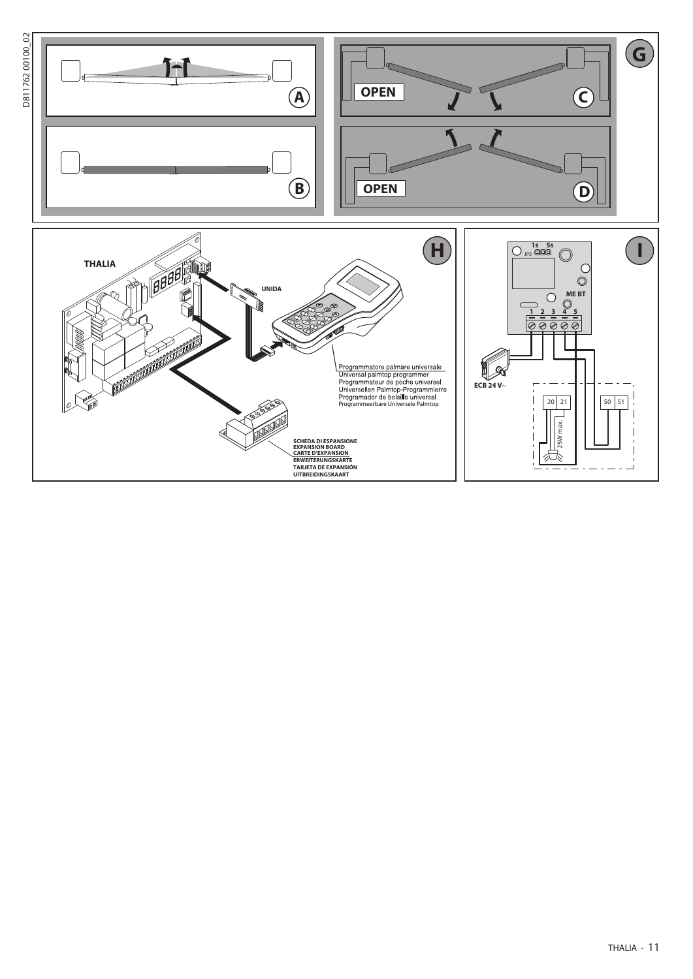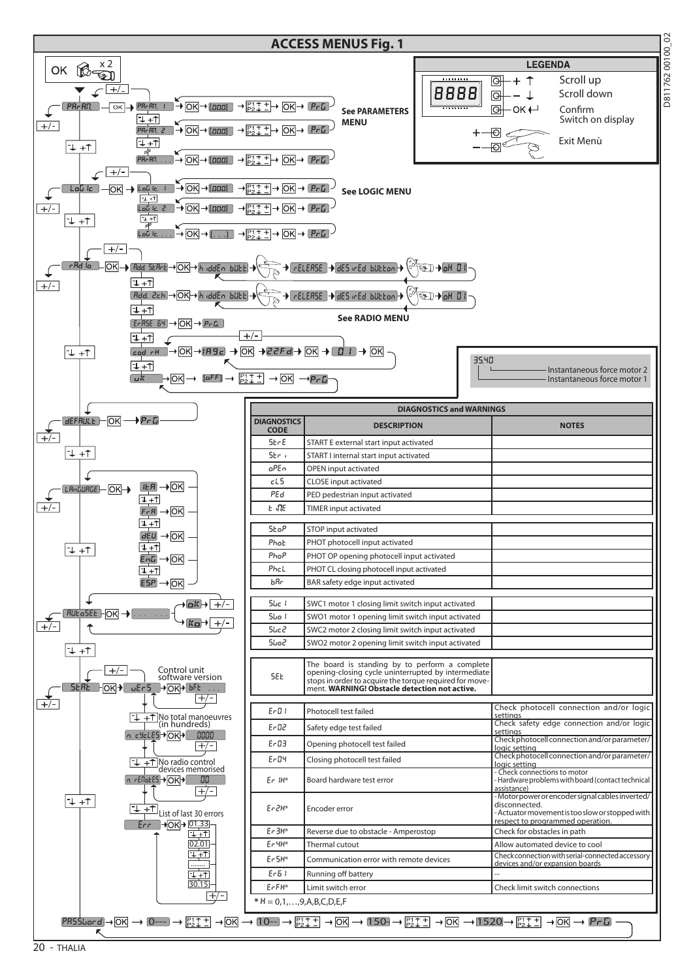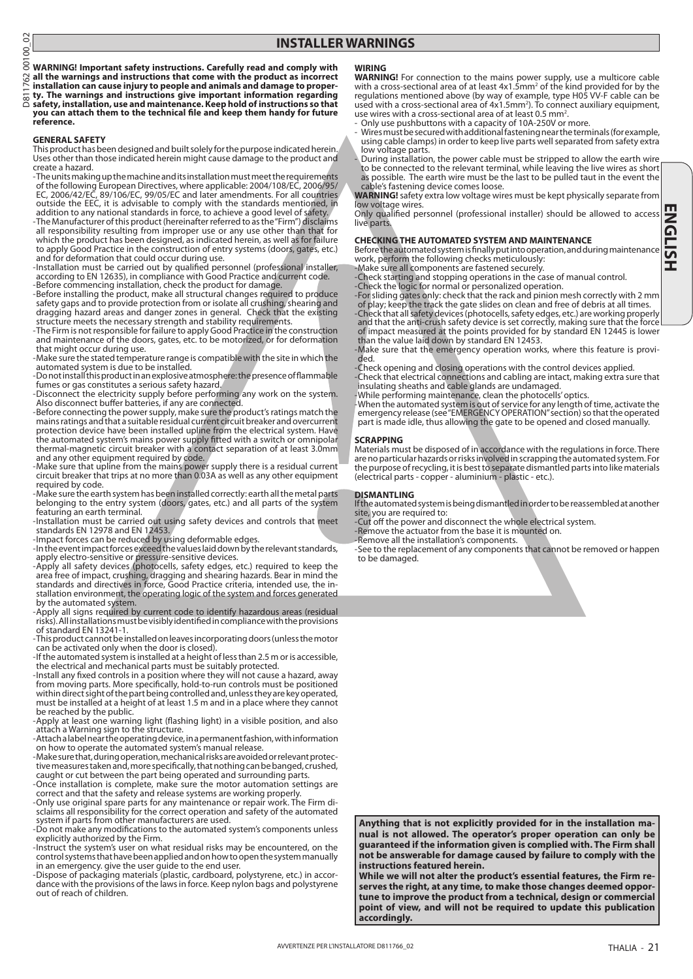$\overline{O}$ D811762 00100\_028 762

**WARNING! Important safety instructions. Carefully read and comply with all the warnings and instructions that come with the product as incorrect** 

**installation can cause injury to people and animals and damage to proper- ty. The warnings and instructions give important information regarding**   $\overline{58}$ 

**safety, installation, use and maintenance. Keep hold of instructions so that you can attach them to the technical file and keep them handy for future reference.**

#### **GENERAL SAFETY**

This product has been designed and built solely for the purpose indicated herein. Uses other than those indicated herein might cause damage to the product and create a hazard.

-The units making up the machine and its installation must meet the requirements of the following European Directives, where applicable: 2004/108/EC, 2006/95/ EC, 2006/42/EC, 89/106/EC, 99/05/EC and later amendments. For all countries outside the EEC, it is advisable to comply with the standards mentioned, in addition to any national standards in force, to achieve a good level of safety.

-The Manufacturer of this product (hereinafter referred to as the "Firm") disclaims all responsibility resulting from improper use or any use other than that for which the product has been designed, as indicated herein, as well as for failure to apply Good Practice in the construction of entry systems (doors, gates, etc.) and for deformation that could occur during use. -Installation must be carried out by qualified personnel (professional installer,

according to EN 12635), in compliance with Good Practice and current code. -Before commencing installation, check the product for damage. -Before installing the product, make all structural changes required to produce

safety gaps and to provide protection from or isolate all crushing, shearing and dragging hazard areas and danger zones in general. Check that the existing

structure meets the necessary strength and stability requirements.<br>The Firm is not responsible for failure to apply Good Practice in the construction<br>and maintenance of the doors, gates, etc. to be motorized, or for deform that might occur during use.

-Make sure the stated temperature range is compatible with the site in which the automated system is due to be installed. -Do not install this product in an explosive atmosphere: the presence of flammable

fumes or gas constitutes a serious safety hazard.

-Disconnect the electricity supply before performing any work on the system. Also disconnect buffer batteries, if any are connected.

-Before connecting the power supply, make sure the product's ratings match the mains ratings and that a suitable residual current circuit breaker and overcurrent protection device have been installed upline from the electrical system. Have the automated system's mains power supply fitted with a switch or omnipolar thermal-magnetic circuit breaker with a contact separation of at least 3.0mm

and any other equipment required by code. -Make sure that upline from the mains power supply there is a residual current circuit breaker that trips at no more than 0.03A as well as any other equipment required by code.

-Make sure the earth system has been installed correctly: earth all the metal parts belonging to the entry system (doors, gates, etc.) and all parts of the system featuring an earth terminal.

-Installation must be carried out using safety devices and controls that meet standards EN 12978 and EN 12453. -Impact forces can be reduced by using deformable edges. -In the event impact forces exceed the values laid down by the relevant standards,

apply electro-sensitive or pressure-sensitive devices. -Apply all safety devices (photocells, safety edges, etc.) required to keep the

area free of impact, crushing, dragging and shearing hazards. Bear in mind the standards and directives in force, Good Practice criteria, intended use, the installation environment, the operating logic of the system and forces generated by the automated system.

-Apply all signs required by current code to identify hazardous areas (residual risks). All installations must be visibly identified in compliance with the provisions of standard EN 13241-1.

-This product cannot be installed on leaves incorporating doors (unless the motor can be activated only when the door is closed). -If the automated system is installed at a height of less than 2.5 m or is accessible,

the electrical and mechanical parts must be suitably protected. -Install any fixed controls in a position where they will not cause a hazard, away

from moving parts. More specifically, hold-to-run controls must be positioned within direct sight of the part being controlled and, unless they are key operated, must be installed at a height of at least 1.5 m and in a place where they cannot be reached by the public.

-Apply at least one warning light (flashing light) in a visible position, and also attach a Warning sign to the structure.

-Attach a label near the operating device, in a permanent fashion, with information on how to operate the automated system's manual release.

tive measures taken and, more specifically, that nothing can be banged, crushed,

caught or cut between the part being operated and surrounding parts. -Once installation is complete, make sure the motor automation settings are correct and that the safety and release systems are working properly.

-Only use original spare parts for any maintenance or repair work. The Firm di- sclaims all responsibility for the correct operation and safety of the automated system if parts from other manufacturers are used.

-Do not make any modifications to the automated system's components unless explicitly authorized by the Firm.

-Instruct the system's user on what residual risks may be encountered, on the control systems that have been applied and on how to open the system manually in an emergency. give the user guide to the end user.

-Dispose of packaging materials (plastic, cardboard, polystyrene, etc.) in accor- dance with the provisions of the laws in force. Keep nylon bags and polystyrene out of reach of children.

#### **WIRING**

**WARNING!** For connection to the mains power supply, use a multicore cable<br>with a cross-sectional area of at least 4x1.5mm<sup>2</sup> of the kind provided for by the<br>regulations mentioned above (by way of example, type H05 VV-F ca used with a cross-sectional area of 4x1.5mm<sup>2</sup>). To connect auxiliary equipment, use wires with a cross-sectional area of at least 0.5 mm<sup>2</sup>.

Only use pushbuttons with a capacity of 10A-250V or more.

- Wires must be secured with additional fastening near the terminals (for example, using cable clamps) in order to keep live parts well separated from safety extra low voltage parts.

- During installation, the power cable must be stripped to allow the earth wire to be connected to the relevant terminal, while leaving the live wires as short as possible. The earth wire must be the last to be pulled taut in the event the cable's fastening device comes loose.

**WARNING!** safety extra low voltage wires must be kept physically separate from low voltage wires.

Only qualified personnel (professional installer) should be allowed to access live parts

#### **CHECKING THE AUTOMATED SYSTEM AND MAINTENANCE**

Before the automated system is finally put into operation, and during maintenance work, perform the following checks meticulously:

-Make sure all components are fastened securely.

-Check starting and stopping operations in the case of manual control.

-Check the logic for normal or personalized operation. -For sliding gates only: check that the rack and pinion mesh correctly with 2 mm of play; keep the track the gate slides on clean and free of debris at all times. -Check that all safety devices (photocells, safety edges, etc.) are working properly and that the anti-crush safety device is set correctly, making sure that the force

of impact measured at the points provided for by standard EN 12445 is lower than the value laid down by standard EN 12453.

-Make sure that the emergency operation works, where this feature is provi-<br>ded.

-Check opening and closing operations with the control devices applied. -Check that electrical connections and cabling are intact, making extra sure that insulating sheaths and cable glands are undamaged.

-While performing maintenance, clean the photocells' optics.

-When the automated system is out of service for any length of time, activate the emergency release (see "EMERGENCY OPERATION" section) so that the operated part is made idle, thus allowing the gate to be opened and closed manually.

#### **SCRAPPING**

Materials must be disposed of in accordance with the regulations in force. There are no particular hazards or risks involved in scrapping the automated system. For the purpose of recycling, it is best to separate dismantled parts into like materials (electrical parts - copper - aluminium - plastic - etc.).

#### **DISMANTLING**

If the automated system is being dismantled in order to be reassembled at another site, you are required to:

-Cut off the power and disconnect the whole electrical system.

-Remove the actuator from the base it is mounted on. -Remove all the installation's components.

-See to the replacement of any components that cannot be removed or happen to be damaged.

**Anything that is not explicitly provided for in the installation manual is not allowed. The operator's proper operation can only be guaranteed if the information given is complied with. The Firm shall not be answerable for damage caused by failure to comply with the instructions featured herein.**

**While we will not alter the product's essential features, the Firm reserves the right, at any time, to make those changes deemed opportune to improve the product from a technical, design or commercial point of view, and will not be required to update this publication accordingly.**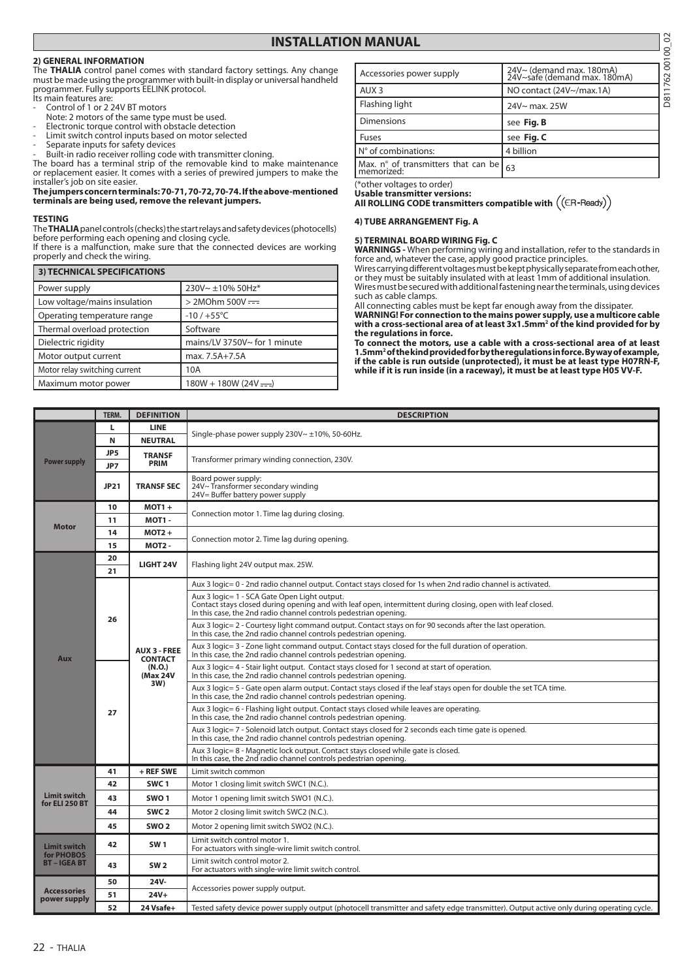### **INSTALLATION MANUAL**

#### **2) GENERAL INFORMATION**

The **THALIA** control panel comes with standard factory settings. Any change must be made using the programmer with built-in display or universal handheld programmer. Fully supports EELINK protocol. Its main features are:

- Control of 1 or 2 24V BT motors
- Note: 2 motors of the same type must be used.
- Electronic torque control with obstacle detection
- Limit switch control inputs based on motor selected
- Separate inputs for safety devices
- Built-in radio receiver rolling code with transmitter cloning.

The board has a terminal strip of the removable kind to make maintenance or replacement easier. It comes with a series of prewired jumpers to make the installer's job on site easier.

#### **The jumpers concern terminals: 70-71, 70-72, 70-74. If the above-mentioned terminals are being used, remove the relevant jumpers.**

#### **TESTING**

The **THALIA** panel controls (checks) the start relays and safety devices (photocells) before performing each opening and closing cycle.

If there is a malfunction, make sure that the connected devices are working properly and check the wiring.

| 3) TECHNICAL SPECIFICATIONS   |                              |
|-------------------------------|------------------------------|
| Power supply                  | 230V~ ±10% 50Hz*             |
| Low voltage/mains insulation  | $>$ 2MOhm 500V $=$           |
| Operating temperature range   | $-10/+55^{\circ}$ C          |
| Thermal overload protection   | Software                     |
| Dielectric rigidity           | mains/LV 3750V~ for 1 minute |
| Motor output current          | max. 7.5A+7.5A               |
| Motor relay switching current | 10A                          |
| Maximum motor power           | $180W + 180W (24V - )$       |

| 8<br>N MANUAL                                |                                                          |         |  |  |  |
|----------------------------------------------|----------------------------------------------------------|---------|--|--|--|
|                                              |                                                          | 00100   |  |  |  |
| Accessories power supply                     | 24V~ (demand max. 180mA)<br>24V~safe (demand max. 180mA) | 62      |  |  |  |
| AUX <sub>3</sub>                             | NO contact (24V~/max.1A)                                 |         |  |  |  |
| Flashing light                               | 24V~ max. 25W                                            | .<br>80 |  |  |  |
| Dimensions                                   | see Fig. B                                               |         |  |  |  |
| Fuses                                        | see Fig. C                                               |         |  |  |  |
| N° of combinations:                          | 4 billion                                                |         |  |  |  |
| Max. $n^{\circ}$ of transmitters that can be | 63                                                       |         |  |  |  |

(\*other voltages to order)

**Usable transmitter versions:**

**All ROLLING CODE transmitters compatible with** 

#### **4) TUBE ARRANGEMENT Fig. A**

#### **5) TERMINAL BOARD WIRING Fig. C**

**WARNINGS -** When performing wiring and installation, refer to the standards in force and, whatever the case, apply good practice principles.

Wires carrying different voltages must be kept physically separate from each other, or they must be suitably insulated with at least 1mm of additional insulation. Wires must be secured with additional fastening near the terminals, using devices such as cable clamps.

All connecting cables must be kept far enough away from the dissipater. **WARNING! For connection to the mains power supply, use a multicore cable with a cross-sectional area of at least 3x1.5mm2 of the kind provided for by the regulations in force.** 

**To connect the motors, use a cable with a cross-sectional area of at least 1.5mm2 of the kind provided for by the regulations in force. By way of example, if the cable is run outside (unprotected), it must be at least type H07RN-F, while if it is run inside (in a raceway), it must be at least type H05 VV-F.**

|                                       | TERM.       | <b>DEFINITION</b>                                                  | <b>DESCRIPTION</b>                                                                                                                                                                                                               |  |  |  |
|---------------------------------------|-------------|--------------------------------------------------------------------|----------------------------------------------------------------------------------------------------------------------------------------------------------------------------------------------------------------------------------|--|--|--|
|                                       | ш           | <b>LINE</b>                                                        | Single-phase power supply 230V~ ±10%, 50-60Hz.                                                                                                                                                                                   |  |  |  |
|                                       | N           | <b>NEUTRAL</b>                                                     |                                                                                                                                                                                                                                  |  |  |  |
| <b>Power supply</b>                   | JP5<br>JP7  | <b>TRANSF</b><br><b>PRIM</b>                                       | Transformer primary winding connection, 230V.                                                                                                                                                                                    |  |  |  |
|                                       | <b>JP21</b> | <b>TRANSF SEC</b>                                                  | Board power supply:<br>24V~Transformer secondary winding<br>24V= Buffer battery power supply                                                                                                                                     |  |  |  |
|                                       | 10          | $MOT1 +$                                                           | Connection motor 1. Time lag during closing.                                                                                                                                                                                     |  |  |  |
| <b>Motor</b>                          | 11          | MOT1-                                                              |                                                                                                                                                                                                                                  |  |  |  |
|                                       | 14          | $MOT2 +$                                                           | Connection motor 2. Time lag during opening.                                                                                                                                                                                     |  |  |  |
|                                       | 15          | <b>MOT2-</b>                                                       |                                                                                                                                                                                                                                  |  |  |  |
|                                       | 20<br>21    | <b>LIGHT 24V</b>                                                   | Flashing light 24V output max. 25W.                                                                                                                                                                                              |  |  |  |
|                                       |             |                                                                    | Aux 3 logic= 0 - 2nd radio channel output. Contact stays closed for 1s when 2nd radio channel is activated.                                                                                                                      |  |  |  |
|                                       | 26          |                                                                    | Aux 3 logic = 1 - SCA Gate Open Light output.<br>Contact stays closed during opening and with leaf open, intermittent during closing, open with leaf closed.<br>In this case, the 2nd radio channel controls pedestrian opening. |  |  |  |
|                                       | 27          | <b>AUX 3 - FREE</b><br><b>CONTACT</b><br>(N.O.)<br>(Max 24V<br>3W) | Aux 3 logic = 2 - Courtesy light command output. Contact stays on for 90 seconds after the last operation.<br>In this case, the 2nd radio channel controls pedestrian opening.                                                   |  |  |  |
| <b>Aux</b>                            |             |                                                                    | Aux 3 logic= 3 - Zone light command output. Contact stays closed for the full duration of operation.<br>In this case, the 2nd radio channel controls pedestrian opening.                                                         |  |  |  |
|                                       |             |                                                                    | Aux 3 logic = 4 - Stair light output. Contact stays closed for 1 second at start of operation.<br>In this case, the 2nd radio channel controls pedestrian opening.                                                               |  |  |  |
|                                       |             |                                                                    | Aux 3 logic= 5 - Gate open alarm output. Contact stays closed if the leaf stays open for double the set TCA time.<br>In this case, the 2nd radio channel controls pedestrian opening.                                            |  |  |  |
|                                       |             |                                                                    | Aux 3 logic = 6 - Flashing light output. Contact stays closed while leaves are operating.<br>In this case, the 2nd radio channel controls pedestrian opening.                                                                    |  |  |  |
|                                       |             |                                                                    | Aux 3 logic= 7 - Solenoid latch output. Contact stays closed for 2 seconds each time gate is opened.<br>In this case, the 2nd radio channel controls pedestrian opening.                                                         |  |  |  |
|                                       |             |                                                                    | Aux 3 logic = 8 - Magnetic lock output. Contact stays closed while gate is closed.<br>In this case, the 2nd radio channel controls pedestrian opening.                                                                           |  |  |  |
|                                       | 41          | $+$ REF SWE                                                        | Limit switch common                                                                                                                                                                                                              |  |  |  |
|                                       | 42          | SWC <sub>1</sub>                                                   | Motor 1 closing limit switch SWC1 (N.C.).                                                                                                                                                                                        |  |  |  |
| <b>Limit switch</b><br>for ELI 250 BT | 43          | SWO <sub>1</sub>                                                   | Motor 1 opening limit switch SWO1 (N.C.).                                                                                                                                                                                        |  |  |  |
|                                       | 44          | SWC <sub>2</sub>                                                   | Motor 2 closing limit switch SWC2 (N.C.).                                                                                                                                                                                        |  |  |  |
|                                       | 45          | SWO <sub>2</sub>                                                   | Motor 2 opening limit switch SWO2 (N.C.).                                                                                                                                                                                        |  |  |  |
| <b>Limit switch</b><br>for PHOBOS     | 42          | <b>SW1</b>                                                         | Limit switch control motor 1.<br>For actuators with single-wire limit switch control.                                                                                                                                            |  |  |  |
| <b>BT-IGEABT</b>                      | 43          | <b>SW2</b>                                                         | Limit switch control motor 2.<br>For actuators with single-wire limit switch control.                                                                                                                                            |  |  |  |
| <b>Accessories</b>                    | 50          | 24V-                                                               | Accessories power supply output.                                                                                                                                                                                                 |  |  |  |
| power supply                          | 51          | $24V+$                                                             |                                                                                                                                                                                                                                  |  |  |  |
|                                       | 52          | 24 Vsafe+                                                          | Tested safety device power supply output (photocell transmitter and safety edge transmitter). Output active only during operating cycle.                                                                                         |  |  |  |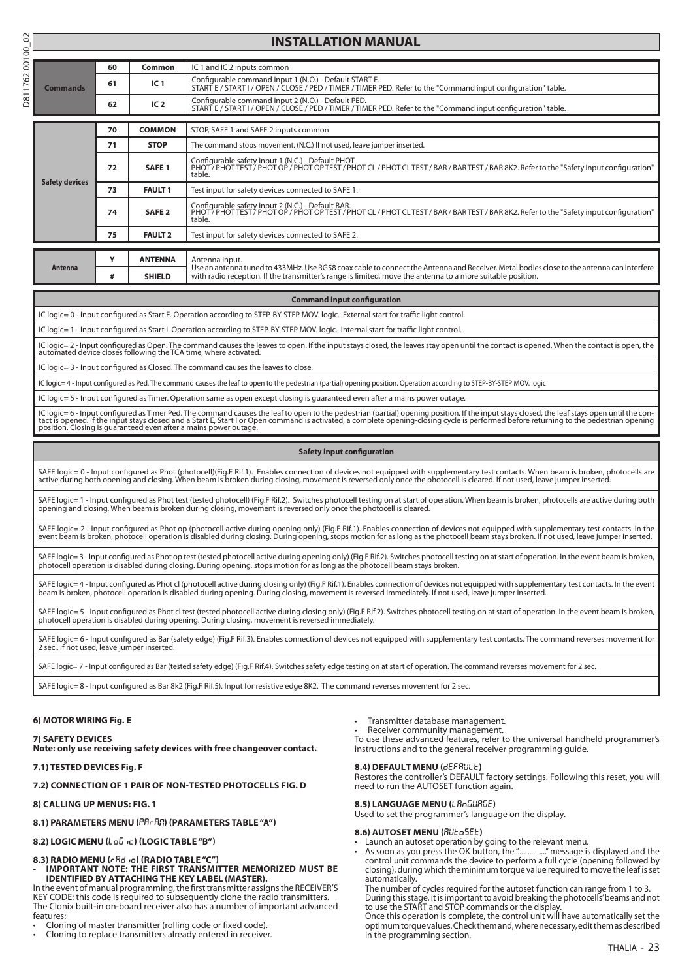# D811762 00100\_02

|          |    |                 | <b>INSTALLATION MANUAL</b>                                                                                                                                              |
|----------|----|-----------------|-------------------------------------------------------------------------------------------------------------------------------------------------------------------------|
|          |    |                 |                                                                                                                                                                         |
| Commands | 60 | Common          | IC 1 and IC 2 inputs common                                                                                                                                             |
|          | 61 | IC <sub>1</sub> | Configurable command input 1 (N.O.) - Default START E.<br>START E / START I / OPEN / CLOSE / PED / TIMER / TIMER PED. Refer to the "Command input configuration" table. |
|          | 62 | IC <sub>2</sub> | Configurable command input 2 (N.O.) - Default PED.<br>START E / START I / OPEN / CLOSE / PED / TIMER / TIMER PED. Refer to the "Command input configuration" table.     |

|                       | 70                      | <b>COMMON</b>     | STOP, SAFE 1 and SAFE 2 inputs common                                                                                                                                                                                                                  |
|-----------------------|-------------------------|-------------------|--------------------------------------------------------------------------------------------------------------------------------------------------------------------------------------------------------------------------------------------------------|
|                       | 71                      | <b>STOP</b>       | The command stops movement. (N.C.) If not used, leave jumper inserted.                                                                                                                                                                                 |
|                       | 72                      | SAFE <sub>1</sub> | Configurable safety input 1 (N.C.) - Default PHOT.<br>PHOT/PHOTTEST/PHOT OP/PHOT OP TEST/PHOT CL/PHOT CLTEST/BAR/BARTEST/BAR 8K2. Refer to the "Safety input configuration"<br>table.                                                                  |
| <b>Safety devices</b> | 73                      | <b>FAULT 1</b>    | Test input for safety devices connected to SAFE 1.                                                                                                                                                                                                     |
|                       | SAFE <sub>2</sub><br>74 |                   | Configurable safety input 2 (N.C.) - Default BAR.<br>PHOT/PHOTTEST/PHOT OP/PHOT OP TEST/PHOT CL/PHOT CLTEST/BAR/BARTEST/BAR 8K2. Refer to the "Safety input configuration"<br>table.                                                                   |
|                       | 75                      | <b>FAULT 2</b>    | Test input for safety devices connected to SAFE 2.                                                                                                                                                                                                     |
|                       |                         |                   |                                                                                                                                                                                                                                                        |
|                       |                         | <b>ANTENNA</b>    | Antenna input.                                                                                                                                                                                                                                         |
| Antenna               | #                       | <b>SHIELD</b>     | Use an antenna tuned to 433MHz. Use RG58 coax cable to connect the Antenna and Receiver. Metal bodies close to the antenna can interfere<br>with radio reception. If the transmitter's range is limited, move the antenna to a more suitable position. |

#### **Command input configuration**

IC logic= 0 - Input configured as Start E. Operation according to STEP-BY-STEP MOV. logic. External start for traffic light control.

IC logic= 1 - Input configured as Start I. Operation according to STEP-BY-STEP MOV. logic. Internal start for traffic light control.

IC logic= 2 - Input configured as Open. The command causes the leaves to open. If the input stays closed, the leaves stay open until the contact is opened. When the contact is open, the<br>automated device closes following th

IC logic= 3 - Input configured as Closed. The command causes the leaves to close.

IC logic= 4 - Input configured as Ped. The command causes the leaf to open to the pedestrian (partial) opening position. Operation according to STEP-BY-STEP MOV. logic

IC logic= 5 - Input configured as Timer. Operation same as open except closing is guaranteed even after a mains power outage.

IC logic= 6 - Input configured as Timer Ped. The command causes the leaf to open to the pedestrian (partial) opening position. If the input stays closed, the leaf stays open until the con-<br>tact is opened. If the input stay

#### **Safety input configuration**

SAFE logic= 0 - Input configured as Phot (photocell)(Fig.F Rif.1). Enables connection of devices not equipped with supplementary test contacts. When beam is broken, photocells are<br>active during both opening and closing. Wh

SAFE logic= 1 - Input configured as Phot test (tested photocell) (Fig.F Rif.2). Switches photocell testing on at start of operation. When beam is broken, photocells are active during both<br>opening and closing. When beam is

SAFE logic= 2 - Input configured as Phot op (photocell active during opening only) (Fig.F Rif.1). Enables connection of devices not equipped with supplementary test contacts. In the<br>event beam is broken, photocell operatio

SAFE logic= 3 - Input configured as Phot op test (tested photocell active during opening only) (Fig.F Rif.2). Switches photocell testing on at start of operation. In the event beam is broken, photocell operation is disabled during closing. During opening, stops motion for as long as the photocell beam stays broken.

SAFE logic= 4 - Input configured as Phot cl (photocell active during closing only) (Fig.F Rif.1). Enables connection of devices not equipped with supplementary test contacts. In the event<br>beam is broken, photocell operatio

SAFE logic= 5 - Input configured as Phot cl test (tested photocell active during closing only) (Fig.F Rif.2). Switches photocell testing on at start of operation. In the event beam is broken, photocell operation is disabled during opening. During closing, movement is reversed immediately.

SAFE logic= 6 - Input configured as Bar (safety edge) (Fig.F Rif.3). Enables connection of devices not equipped with supplementary test contacts. The command reverses movement for 2 sec.. If not used, leave jumper inserted.

SAFE logic= 7 - Input configured as Bar (tested safety edge) (Fig.F Rif.4). Switches safety edge testing on at start of operation. The command reverses movement for 2 sec.

SAFE logic= 8 - Input configured as Bar 8k2 (Fig.F Rif.5). Input for resistive edge 8K2. The command reverses movement for 2 sec.

#### **6) MOTOR WIRING Fig. E**

**7) SAFETY DEVICES**

Transmitter database management.

Receiver community management.

To use these advanced features, refer to the universal handheld programmer's instructions and to the general receiver programming guide.

#### **8.4) DEFAULT MENU (**default**)**

Restores the controller's DEFAULT factory settings. Following this reset, you will need to run the AUTOSET function again.

**8.5) LANGUAGE MENU (**language**)** Used to set the programmer's language on the display.

- 8.6) AUTOSET MENU (RUŁo5EŁ) Launch an autoset operation by going to the relevant menu.
- As soon as you press the OK button, the ".... .... ...." message is displayed and the control unit commands the device to perform a full cycle (opening followed by closing), during which the minimum torque value required to move the leaf is set automatically.

The number of cycles required for the autoset function can range from 1 to 3. During this stage, it is important to avoid breaking the photocells' beams and not to use the START and STOP commands or the display.

Once this operation is complete, the control unit will have automatically set the optimum torque values. Check them and, where necessary, edit them as described in the programming section.

#### **7.1) TESTED DEVICES Fig. F**

#### **7.2) CONNECTION OF 1 PAIR OF NON-TESTED PHOTOCELLS Fig. D**

**Note: only use receiving safety devices with free changeover contact.**

#### **8) CALLING UP MENUS: FIG. 1**

#### 8.1) PARAMETERS MENU (PR<sub>C</sub>R<sub>C</sub>) (PARAMETERS TABLE "A")

**8.2) LOGIC MENU (**LOGIC**) (LOGIC table "B")** 

#### **8.3) RADIO MENU (**radio**) (Radio table "C")**

**- IMPORTANT NOTE: THE FIRST TRANSMITTER MEMORIZED MUST BE IDENTIFIED BY ATTACHING THE KEY LABEL (MASTER).**

In the event of manual programming, the first transmitter assigns the RECEIVER'S KEY CODE: this code is required to subsequently clone the radio transmitters. The Clonix built-in on-board receiver also has a number of important advanced features:

• Cloning of master transmitter (rolling code or fixed code).

Cloning to replace transmitters already entered in receiver.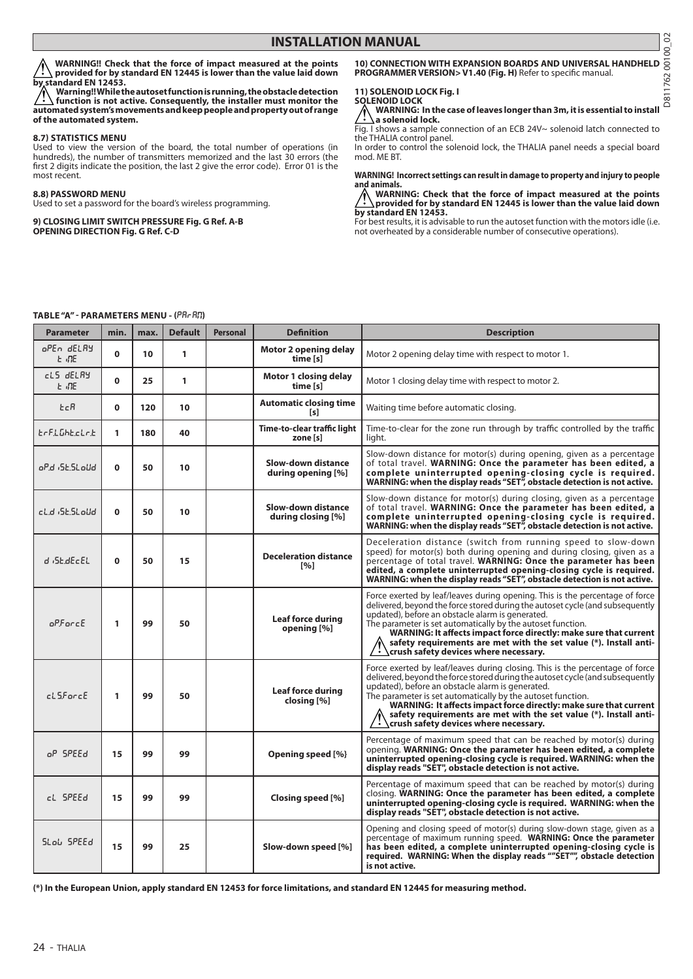**WARNING!! Check that the force of impact measured at the points provided for by standard EN 12445 is lower than the value laid down by standard EN 12453.**

**Warning!! While the autoset function is running, the obstacle detection**   $\sqrt{N}$ **function is not active. Consequently, the installer must monitor the automated system's movements and keep people and property out of range of the automated system.**

#### **8.7) STATISTICS MENU**

Used to view the version of the board, the total number of operations (in hundreds), the number of transmitters memorized and the last 30 errors (the first 2 digits indicate the position, the last 2 give the error code). Error 01 is the most recent.

#### **8.8) PASSWORD MENU**

Used to set a password for the board's wireless programming.

**9) CLOSING LIMIT SWITCH PRESSURE Fig. G Ref. A-B OPENING DIRECTION Fig. G Ref. C-D**

#### **10) CONNECTION WITH EXPANSION BOARDS AND UNIVERSAL HANDHELD PROGRAMMER VERSION> V1.40 (Fig. H)** Refer to specific manual.

#### **11) SOLENOID LOCK Fig. I SOLENOID LOCK**

**WARNING: In the case of leaves longer than 3m, it is essential to install a solenoid lock.**

Fig. I shows a sample connection of an ECB 24V~ solenoid latch connected to the THALIA control panel.

In order to control the solenoid lock, the THALIA panel needs a special board mod. ME BT.

### **WARNING! Incorrect settings can result in damage to property and injury to people and animals. WARNING: Check that the force of impact measured at the points**

**provided for by standard EN 12445 is lower than the value laid down by standard EN 12453.**

For best results, it is advisable to run the autoset function with the motors idle (i.e. not overheated by a considerable number of consecutive operations).

#### **TABLE "A" - PARAMETERS MENU - (PRc Rn)**

| <b>Parameter</b>           | min.        | max. | <b>Default</b> | <b>Personal</b> | <b>Definition</b>                                  | <b>Description</b>                                                                                                                                                                                                                                                                                                                                                                                                                                                       |
|----------------------------|-------------|------|----------------|-----------------|----------------------------------------------------|--------------------------------------------------------------------------------------------------------------------------------------------------------------------------------------------------------------------------------------------------------------------------------------------------------------------------------------------------------------------------------------------------------------------------------------------------------------------------|
| oPEn dELRY<br>E INE        | $\mathbf 0$ | 10   | 1              |                 | <b>Motor 2 opening delay</b><br>time [s]           | Motor 2 opening delay time with respect to motor 1.                                                                                                                                                                                                                                                                                                                                                                                                                      |
| cLS dELRY<br>E INE         | $\Omega$    | 25   | 1              |                 | <b>Motor 1 closing delay</b><br>time [s]           | Motor 1 closing delay time with respect to motor 2.                                                                                                                                                                                                                                                                                                                                                                                                                      |
| EcR                        | $\Omega$    | 120  | 10             |                 | <b>Automatic closing time</b><br>[s]               | Waiting time before automatic closing.                                                                                                                                                                                                                                                                                                                                                                                                                                   |
| trFLGhtcLrt                | 1           | 180  | 40             |                 | Time-to-clear traffic light<br>zone [s]            | Time-to-clear for the zone run through by traffic controlled by the traffic<br>light.                                                                                                                                                                                                                                                                                                                                                                                    |
| oPd <sub>'</sub> SESLoUd   | $\mathbf 0$ | 50   | 10             |                 | <b>Slow-down distance</b><br>during opening [%]    | Slow-down distance for motor(s) during opening, given as a percentage<br>of total travel. WARNING: Once the parameter has been edited, a<br>complete uninterrupted opening-closing cycle is required.<br>WARNING: when the display reads "SET", obstacle detection is not active.                                                                                                                                                                                        |
| cl.d <sub>1</sub> SE.SLoUd | $\mathbf 0$ | 50   | 10             |                 | <b>Slow-down distance</b><br>during closing [%]    | Slow-down distance for motor(s) during closing, given as a percentage<br>of total travel. WARNING: Once the parameter has been edited, a<br>complete uninterrupted opening-closing cycle is required.<br>WARNING: when the display reads "SET", obstacle detection is not active.                                                                                                                                                                                        |
| d iSE.dEcEL                | $\mathbf 0$ | 50   | 15             |                 | <b>Deceleration distance</b><br>$\lceil 96 \rceil$ | Deceleration distance (switch from running speed to slow-down<br>speed) for motor(s) both during opening and during closing, given as a<br>percentage of total travel. WARNING: Once the parameter has been<br>edited, a complete uninterrupted opening-closing cycle is required.<br>WARNING: when the display reads "SET", obstacle detection is not active.                                                                                                           |
| $a$ P $F$ arc $E$          | 1           | 99   | 50             |                 | <b>Leaf force during</b><br>opening [%]            | Force exerted by leaf/leaves during opening. This is the percentage of force<br>delivered, beyond the force stored during the autoset cycle (and subsequently<br>updated), before an obstacle alarm is generated.<br>The parameter is set automatically by the autoset function.<br>WARNING: It affects impact force directly: make sure that current<br>safety requirements are met with the set value (*). Install anti-<br>crush safety devices where necessary.      |
| cL5ForcE                   | 1           | 99   | 50             |                 | Leaf force during<br>closing [%]                   | Force exerted by leaf/leaves during closing. This is the percentage of force<br>delivered, beyond the force stored during the autoset cycle (and subsequently<br>updated), before an obstacle alarm is generated.<br>The parameter is set automatically by the autoset function.<br>WARNING: It affects impact force directly: make sure that current<br>safety requirements are met with the set value (*). Install anti-<br>÷<br>crush safety devices where necessary. |
| oP SPEEd                   | 15          | 99   | 99             |                 | Opening speed [%}                                  | Percentage of maximum speed that can be reached by motor(s) during<br>opening. WARNING: Once the parameter has been edited, a complete<br>uninterrupted opening-closing cycle is required. WARNING: when the<br>display reads "SET", obstacle detection is not active.                                                                                                                                                                                                   |
| cL SPEEd                   | 15          | 99   | 99             |                 | Closing speed [%]                                  | Percentage of maximum speed that can be reached by motor(s) during<br>closing. WARNING: Once the parameter has been edited, a complete<br>uninterrupted opening-closing cycle is required. WARNING: when the<br>display reads "SET", obstacle detection is not active.                                                                                                                                                                                                   |
| SLob SPEEd                 | 15          | 99   | 25             |                 | Slow-down speed [%]                                | Opening and closing speed of motor(s) during slow-down stage, given as a<br>percentage of maximum running speed. WARNING: Once the parameter<br>has been edited, a complete uninterrupted opening-closing cycle is<br>required. WARNING: When the display reads ""SET"", obstacle detection<br>is not active.                                                                                                                                                            |

**(\*) In the European Union, apply standard EN 12453 for force limitations, and standard EN 12445 for measuring method.**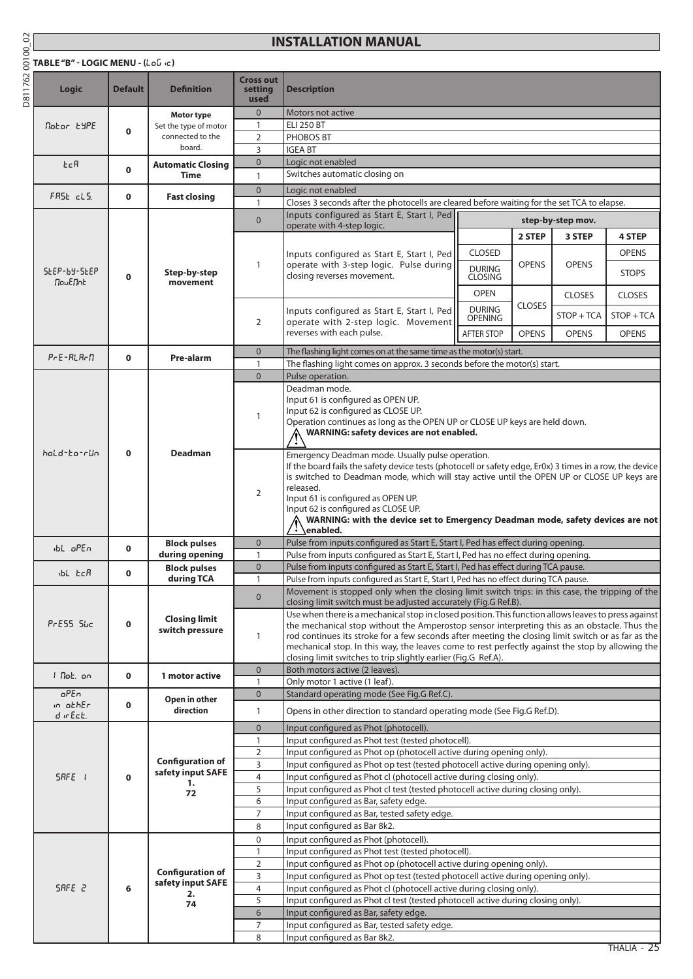D811762 00100\_02

## **TABLE "B" - LOGIC MENU - (**logic**)**

# **INSTALLATION MANUAL**

| Logic                       | <b>Default</b> | <b>Definition</b>                            | <b>Cross out</b><br>setting<br>used | <b>Description</b>                                                                                                                                                                                                                                                                                                                                                                                                                                 |                                                                                                                                                                                                                                                                                                                                                                                                                                                                                                                                                                                                                                                                               |               |                   |               |  |  |
|-----------------------------|----------------|----------------------------------------------|-------------------------------------|----------------------------------------------------------------------------------------------------------------------------------------------------------------------------------------------------------------------------------------------------------------------------------------------------------------------------------------------------------------------------------------------------------------------------------------------------|-------------------------------------------------------------------------------------------------------------------------------------------------------------------------------------------------------------------------------------------------------------------------------------------------------------------------------------------------------------------------------------------------------------------------------------------------------------------------------------------------------------------------------------------------------------------------------------------------------------------------------------------------------------------------------|---------------|-------------------|---------------|--|--|
|                             |                | Motor type                                   | $\mathbf{0}$                        | Motors not active                                                                                                                                                                                                                                                                                                                                                                                                                                  |                                                                                                                                                                                                                                                                                                                                                                                                                                                                                                                                                                                                                                                                               |               |                   |               |  |  |
| Nobor 69PE                  | $\mathbf 0$    | Set the type of motor                        | $\mathbf{1}$                        | <b>ELI 250 BT</b>                                                                                                                                                                                                                                                                                                                                                                                                                                  |                                                                                                                                                                                                                                                                                                                                                                                                                                                                                                                                                                                                                                                                               |               |                   |               |  |  |
|                             |                | connected to the<br>board.                   | 2                                   | PHOBOS BT                                                                                                                                                                                                                                                                                                                                                                                                                                          |                                                                                                                                                                                                                                                                                                                                                                                                                                                                                                                                                                                                                                                                               |               |                   |               |  |  |
|                             |                |                                              | 3<br>$\overline{0}$                 | <b>IGEA BT</b><br>Logic not enabled                                                                                                                                                                                                                                                                                                                                                                                                                |                                                                                                                                                                                                                                                                                                                                                                                                                                                                                                                                                                                                                                                                               |               |                   |               |  |  |
| EcR                         | 0              | <b>Automatic Closing</b><br><b>Time</b>      | $\mathbf{1}$                        | Switches automatic closing on                                                                                                                                                                                                                                                                                                                                                                                                                      |                                                                                                                                                                                                                                                                                                                                                                                                                                                                                                                                                                                                                                                                               |               |                   |               |  |  |
|                             |                |                                              | $\overline{0}$                      | Logic not enabled                                                                                                                                                                                                                                                                                                                                                                                                                                  |                                                                                                                                                                                                                                                                                                                                                                                                                                                                                                                                                                                                                                                                               |               |                   |               |  |  |
| FRSE cLS.                   | 0              | <b>Fast closing</b>                          | $\mathbf{1}$                        | Closes 3 seconds after the photocells are cleared before waiting for the set TCA to elapse.                                                                                                                                                                                                                                                                                                                                                        |                                                                                                                                                                                                                                                                                                                                                                                                                                                                                                                                                                                                                                                                               |               |                   |               |  |  |
|                             |                |                                              | $\Omega$                            | Inputs configured as Start E, Start I, Ped                                                                                                                                                                                                                                                                                                                                                                                                         |                                                                                                                                                                                                                                                                                                                                                                                                                                                                                                                                                                                                                                                                               |               | step-by-step mov. |               |  |  |
|                             |                |                                              |                                     | operate with 4-step logic.                                                                                                                                                                                                                                                                                                                                                                                                                         |                                                                                                                                                                                                                                                                                                                                                                                                                                                                                                                                                                                                                                                                               | 2 STEP        | 3 STEP            | <b>4 STEP</b> |  |  |
|                             |                |                                              |                                     |                                                                                                                                                                                                                                                                                                                                                                                                                                                    | <b>CLOSED</b>                                                                                                                                                                                                                                                                                                                                                                                                                                                                                                                                                                                                                                                                 |               |                   | <b>OPENS</b>  |  |  |
| 5£2P-6Y-5£2P<br>NouENnt     |                |                                              | 1                                   | Inputs configured as Start E, Start I, Ped<br>operate with 3-step logic. Pulse during                                                                                                                                                                                                                                                                                                                                                              |                                                                                                                                                                                                                                                                                                                                                                                                                                                                                                                                                                                                                                                                               | <b>OPENS</b>  | <b>OPENS</b>      |               |  |  |
|                             | 0              | Step-by-step<br>movement                     |                                     | closing reverses movement.                                                                                                                                                                                                                                                                                                                                                                                                                         | <b>DURING</b><br><b>CLOSING</b>                                                                                                                                                                                                                                                                                                                                                                                                                                                                                                                                                                                                                                               |               |                   | <b>STOPS</b>  |  |  |
|                             |                |                                              |                                     |                                                                                                                                                                                                                                                                                                                                                                                                                                                    | <b>OPEN</b>                                                                                                                                                                                                                                                                                                                                                                                                                                                                                                                                                                                                                                                                   |               | <b>CLOSES</b>     | <b>CLOSES</b> |  |  |
|                             |                |                                              |                                     | Inputs configured as Start E, Start I, Ped                                                                                                                                                                                                                                                                                                                                                                                                         | <b>DURING</b>                                                                                                                                                                                                                                                                                                                                                                                                                                                                                                                                                                                                                                                                 | <b>CLOSES</b> |                   |               |  |  |
|                             |                |                                              | 2                                   | operate with 2-step logic. Movement                                                                                                                                                                                                                                                                                                                                                                                                                | <b>OPENING</b>                                                                                                                                                                                                                                                                                                                                                                                                                                                                                                                                                                                                                                                                |               | STOP + TCA        | STOP + TCA    |  |  |
|                             |                |                                              |                                     | reverses with each pulse.                                                                                                                                                                                                                                                                                                                                                                                                                          | <b>AFTER STOP</b>                                                                                                                                                                                                                                                                                                                                                                                                                                                                                                                                                                                                                                                             | OPFNS         | <b>OPENS</b>      | <b>OPENS</b>  |  |  |
| $P \cap E - R L R \cap \Pi$ | 0              | Pre-alarm                                    | $\mathbf{0}$                        | The flashing light comes on at the same time as the motor(s) start.                                                                                                                                                                                                                                                                                                                                                                                |                                                                                                                                                                                                                                                                                                                                                                                                                                                                                                                                                                                                                                                                               |               |                   |               |  |  |
|                             |                |                                              | $\mathbf{1}$                        | The flashing light comes on approx. 3 seconds before the motor(s) start.                                                                                                                                                                                                                                                                                                                                                                           |                                                                                                                                                                                                                                                                                                                                                                                                                                                                                                                                                                                                                                                                               |               |                   |               |  |  |
|                             |                |                                              | $\Omega$                            | Pulse operation.<br>Deadman mode.                                                                                                                                                                                                                                                                                                                                                                                                                  |                                                                                                                                                                                                                                                                                                                                                                                                                                                                                                                                                                                                                                                                               |               |                   |               |  |  |
| hold-to-rün                 |                |                                              | 1                                   | Input 61 is configured as OPEN UP.<br>Input 62 is configured as CLOSE UP.<br>Operation continues as long as the OPEN UP or CLOSE UP keys are held down.<br>WARNING: safety devices are not enabled.                                                                                                                                                                                                                                                |                                                                                                                                                                                                                                                                                                                                                                                                                                                                                                                                                                                                                                                                               |               |                   |               |  |  |
|                             | $\mathbf 0$    | <b>Deadman</b>                               | 2                                   | Emergency Deadman mode. Usually pulse operation.<br>If the board fails the safety device tests (photocell or safety edge, Er0x) 3 times in a row, the device<br>is switched to Deadman mode, which will stay active until the OPEN UP or CLOSE UP keys are<br>released.<br>Input 61 is configured as OPEN UP.<br>Input 62 is configured as CLOSE UP.<br>WARNING: with the device set to Emergency Deadman mode, safety devices are not<br>enabled. |                                                                                                                                                                                                                                                                                                                                                                                                                                                                                                                                                                                                                                                                               |               |                   |               |  |  |
| ibl open                    | 0              | <b>Block pulses</b>                          | $\mathbf{0}$                        | Pulse from inputs configured as Start E, Start I, Ped has effect during opening.                                                                                                                                                                                                                                                                                                                                                                   |                                                                                                                                                                                                                                                                                                                                                                                                                                                                                                                                                                                                                                                                               |               |                   |               |  |  |
|                             |                | during opening                               | $\mathbf{1}$<br>$\overline{0}$      | Pulse from inputs configured as Start E, Start I, Ped has no effect during opening.                                                                                                                                                                                                                                                                                                                                                                |                                                                                                                                                                                                                                                                                                                                                                                                                                                                                                                                                                                                                                                                               |               |                   |               |  |  |
| ibl tcR                     | 0              | <b>Block pulses</b><br>during TCA            | $\mathbf{1}$                        | Pulse from inputs configured as Start E, Start I, Ped has effect during TCA pause.                                                                                                                                                                                                                                                                                                                                                                 |                                                                                                                                                                                                                                                                                                                                                                                                                                                                                                                                                                                                                                                                               |               |                   |               |  |  |
| PrESS Suc                   | 0              | <b>Closing limit</b><br>switch pressure      | $\mathbf{0}$<br>1                   | closing limit switches to trip slightly earlier (Fig.G Ref.A).                                                                                                                                                                                                                                                                                                                                                                                     | Pulse from inputs configured as Start E, Start I, Ped has no effect during TCA pause.<br>Movement is stopped only when the closing limit switch trips: in this case, the tripping of the<br>closing limit switch must be adjusted accurately (Fig.G Ref.B).<br>Use when there is a mechanical stop in closed position. This function allows leaves to press against<br>the mechanical stop without the Amperostop sensor interpreting this as an obstacle. Thus the<br>rod continues its stroke for a few seconds after meeting the closing limit switch or as far as the<br>mechanical stop. In this way, the leaves come to rest perfectly against the stop by allowing the |               |                   |               |  |  |
| I Not, on                   |                |                                              | $\overline{0}$                      | Both motors active (2 leaves).                                                                                                                                                                                                                                                                                                                                                                                                                     |                                                                                                                                                                                                                                                                                                                                                                                                                                                                                                                                                                                                                                                                               |               |                   |               |  |  |
|                             | 0              | 1 motor active                               | $\mathbf{1}$                        | Only motor 1 active (1 leaf).                                                                                                                                                                                                                                                                                                                                                                                                                      |                                                                                                                                                                                                                                                                                                                                                                                                                                                                                                                                                                                                                                                                               |               |                   |               |  |  |
| oPEn<br>in othEr            | 0              | Open in other                                | $\overline{0}$                      | Standard operating mode (See Fig.G Ref.C).                                                                                                                                                                                                                                                                                                                                                                                                         |                                                                                                                                                                                                                                                                                                                                                                                                                                                                                                                                                                                                                                                                               |               |                   |               |  |  |
| d inEct.                    |                | direction                                    | $\mathbf{1}$                        | Opens in other direction to standard operating mode (See Fig.G Ref.D).                                                                                                                                                                                                                                                                                                                                                                             |                                                                                                                                                                                                                                                                                                                                                                                                                                                                                                                                                                                                                                                                               |               |                   |               |  |  |
|                             |                |                                              | $\mathbf 0$                         | Input configured as Phot (photocell).                                                                                                                                                                                                                                                                                                                                                                                                              |                                                                                                                                                                                                                                                                                                                                                                                                                                                                                                                                                                                                                                                                               |               |                   |               |  |  |
|                             |                |                                              | $\mathbf{1}$                        | Input configured as Phot test (tested photocell).                                                                                                                                                                                                                                                                                                                                                                                                  |                                                                                                                                                                                                                                                                                                                                                                                                                                                                                                                                                                                                                                                                               |               |                   |               |  |  |
|                             |                | <b>Configuration of</b>                      | $\overline{2}$<br>3                 | Input configured as Phot op (photocell active during opening only).<br>Input configured as Phot op test (tested photocell active during opening only).                                                                                                                                                                                                                                                                                             |                                                                                                                                                                                                                                                                                                                                                                                                                                                                                                                                                                                                                                                                               |               |                   |               |  |  |
| SRFE I                      | 0              | safety input SAFE                            | 4                                   | Input configured as Phot cl (photocell active during closing only).                                                                                                                                                                                                                                                                                                                                                                                |                                                                                                                                                                                                                                                                                                                                                                                                                                                                                                                                                                                                                                                                               |               |                   |               |  |  |
|                             |                | 1.<br>72                                     | 5                                   | Input configured as Phot cl test (tested photocell active during closing only).                                                                                                                                                                                                                                                                                                                                                                    |                                                                                                                                                                                                                                                                                                                                                                                                                                                                                                                                                                                                                                                                               |               |                   |               |  |  |
|                             |                |                                              | 6                                   | Input configured as Bar, safety edge.                                                                                                                                                                                                                                                                                                                                                                                                              |                                                                                                                                                                                                                                                                                                                                                                                                                                                                                                                                                                                                                                                                               |               |                   |               |  |  |
|                             |                |                                              | 7                                   | Input configured as Bar, tested safety edge.                                                                                                                                                                                                                                                                                                                                                                                                       |                                                                                                                                                                                                                                                                                                                                                                                                                                                                                                                                                                                                                                                                               |               |                   |               |  |  |
|                             |                |                                              | 8<br>$\mathbf 0$                    | Input configured as Bar 8k2.<br>Input configured as Phot (photocell).                                                                                                                                                                                                                                                                                                                                                                              |                                                                                                                                                                                                                                                                                                                                                                                                                                                                                                                                                                                                                                                                               |               |                   |               |  |  |
|                             |                |                                              | $\mathbf{1}$                        | Input configured as Phot test (tested photocell).                                                                                                                                                                                                                                                                                                                                                                                                  |                                                                                                                                                                                                                                                                                                                                                                                                                                                                                                                                                                                                                                                                               |               |                   |               |  |  |
|                             |                |                                              | $\overline{2}$                      | Input configured as Phot op (photocell active during opening only).                                                                                                                                                                                                                                                                                                                                                                                |                                                                                                                                                                                                                                                                                                                                                                                                                                                                                                                                                                                                                                                                               |               |                   |               |  |  |
|                             |                | <b>Configuration of</b><br>safety input SAFE | 3                                   | Input configured as Phot op test (tested photocell active during opening only).                                                                                                                                                                                                                                                                                                                                                                    |                                                                                                                                                                                                                                                                                                                                                                                                                                                                                                                                                                                                                                                                               |               |                   |               |  |  |
| SRFE <sub>2</sub>           | 6              | 2.                                           | 4                                   | Input configured as Phot cl (photocell active during closing only).                                                                                                                                                                                                                                                                                                                                                                                |                                                                                                                                                                                                                                                                                                                                                                                                                                                                                                                                                                                                                                                                               |               |                   |               |  |  |
|                             |                | 74                                           | 5                                   | Input configured as Phot cl test (tested photocell active during closing only).                                                                                                                                                                                                                                                                                                                                                                    |                                                                                                                                                                                                                                                                                                                                                                                                                                                                                                                                                                                                                                                                               |               |                   |               |  |  |
|                             |                |                                              | 6<br>7                              | Input configured as Bar, safety edge.<br>Input configured as Bar, tested safety edge.                                                                                                                                                                                                                                                                                                                                                              |                                                                                                                                                                                                                                                                                                                                                                                                                                                                                                                                                                                                                                                                               |               |                   |               |  |  |
|                             |                |                                              | 8                                   | Input configured as Bar 8k2.                                                                                                                                                                                                                                                                                                                                                                                                                       |                                                                                                                                                                                                                                                                                                                                                                                                                                                                                                                                                                                                                                                                               |               |                   |               |  |  |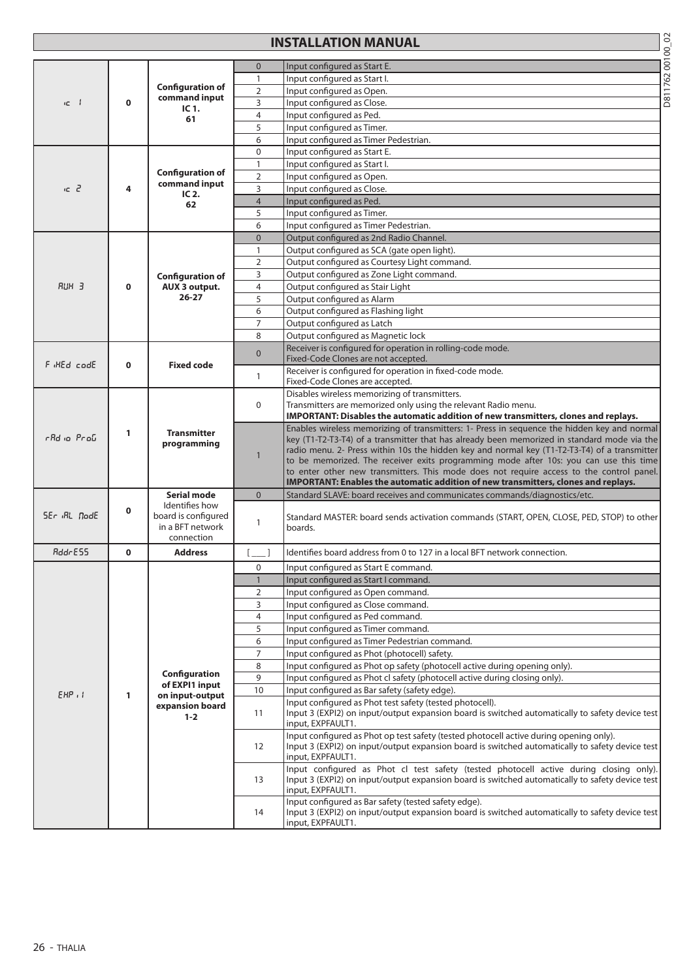# **INSTALLATION MANUAL**

| г |
|---|
|   |
|   |

|                |             |                                                         | $\mathbf 0$    | Input configured as Start E.                                                                                                                                                               |
|----------------|-------------|---------------------------------------------------------|----------------|--------------------------------------------------------------------------------------------------------------------------------------------------------------------------------------------|
|                |             |                                                         | $\mathbf{1}$   | Input configured as Start I.                                                                                                                                                               |
|                |             | <b>Configuration of</b><br>command input<br>IC 1.<br>61 | $\overline{2}$ | Input configured as Open.                                                                                                                                                                  |
| ic I           | $\mathbf 0$ |                                                         | 3              | Input configured as Close.                                                                                                                                                                 |
|                |             |                                                         | 4              | Input configured as Ped.                                                                                                                                                                   |
|                |             |                                                         | 5              | Input configured as Timer.                                                                                                                                                                 |
|                |             |                                                         | 6              | Input configured as Timer Pedestrian.                                                                                                                                                      |
|                |             |                                                         | 0              | Input configured as Start E.                                                                                                                                                               |
|                |             |                                                         | $\mathbf{1}$   | Input configured as Start I.                                                                                                                                                               |
|                |             | <b>Configuration of</b>                                 | $\overline{2}$ | Input configured as Open.                                                                                                                                                                  |
| C <sub>2</sub> | 4           | command input<br>$IC2$ .                                | 3              | Input configured as Close.                                                                                                                                                                 |
|                |             | 62                                                      | $\overline{4}$ | Input configured as Ped.                                                                                                                                                                   |
|                |             |                                                         | 5              | Input configured as Timer.                                                                                                                                                                 |
|                |             |                                                         | 6              | Input configured as Timer Pedestrian.                                                                                                                                                      |
|                |             |                                                         | $\mathbf{0}$   | Output configured as 2nd Radio Channel.                                                                                                                                                    |
|                |             |                                                         | $\mathbf{1}$   | Output configured as SCA (gate open light).                                                                                                                                                |
|                |             |                                                         | $\overline{2}$ | Output configured as Courtesy Light command.                                                                                                                                               |
|                |             | <b>Configuration of</b>                                 | 3              | Output configured as Zone Light command.                                                                                                                                                   |
| <b>RUH 3</b>   | $\mathbf 0$ | <b>AUX 3 output.</b>                                    | $\overline{4}$ | Output configured as Stair Light                                                                                                                                                           |
|                |             | $26 - 27$                                               | 5              | Output configured as Alarm                                                                                                                                                                 |
|                |             |                                                         | 6              | Output configured as Flashing light                                                                                                                                                        |
|                |             |                                                         | $\overline{7}$ | Output configured as Latch                                                                                                                                                                 |
|                |             |                                                         | 8              | Output configured as Magnetic lock                                                                                                                                                         |
|                |             |                                                         | $\overline{0}$ | Receiver is configured for operation in rolling-code mode.                                                                                                                                 |
| F HEd codE     | $\mathbf 0$ | <b>Fixed code</b>                                       |                | Fixed-Code Clones are not accepted.                                                                                                                                                        |
|                |             |                                                         | $\mathbf{1}$   | Receiver is configured for operation in fixed-code mode.                                                                                                                                   |
|                |             |                                                         |                | Fixed-Code Clones are accepted.                                                                                                                                                            |
|                |             | <b>Transmitter</b><br>programming                       |                | Disables wireless memorizing of transmitters.                                                                                                                                              |
|                |             |                                                         | $\mathbf{0}$   | Transmitters are memorized only using the relevant Radio menu.                                                                                                                             |
|                | 1           |                                                         |                | IMPORTANT: Disables the automatic addition of new transmitters, clones and replays.                                                                                                        |
| rBd io ProG    |             |                                                         |                | Enables wireless memorizing of transmitters: 1- Press in sequence the hidden key and normal<br>key (T1-T2-T3-T4) of a transmitter that has already been memorized in standard mode via the |
|                |             |                                                         |                | radio menu. 2- Press within 10s the hidden key and normal key (T1-T2-T3-T4) of a transmitter                                                                                               |
|                |             |                                                         | $\mathbf{1}$   | to be memorized. The receiver exits programming mode after 10s: you can use this time                                                                                                      |
|                |             |                                                         |                | to enter other new transmitters. This mode does not require access to the control panel.                                                                                                   |
|                |             |                                                         |                | IMPORTANT: Enables the automatic addition of new transmitters, clones and replays.                                                                                                         |
|                |             | <b>Serial mode</b>                                      | $\overline{0}$ | Standard SLAVE: board receives and communicates commands/diagnostics/etc.                                                                                                                  |
|                | 0           | Identifies how                                          |                |                                                                                                                                                                                            |
| SEr RL NodE    |             | board is configured<br>in a BFT network<br>connection   | 1              | Standard MASTER: board sends activation commands (START, OPEN, CLOSE, PED, STOP) to other                                                                                                  |
|                |             |                                                         |                | boards.                                                                                                                                                                                    |
|                |             |                                                         |                |                                                                                                                                                                                            |
| RddrESS        | $\mathbf 0$ | <b>Address</b>                                          |                | Identifies board address from 0 to 127 in a local BFT network connection.                                                                                                                  |
|                |             |                                                         | $\mathbf 0$    | Input configured as Start E command.                                                                                                                                                       |
|                |             |                                                         | 1              | Input configured as Start I command.                                                                                                                                                       |
|                |             |                                                         | $\overline{2}$ | Input configured as Open command.                                                                                                                                                          |
|                |             |                                                         | 3              | Input configured as Close command.                                                                                                                                                         |
|                |             |                                                         | $\overline{4}$ | Input configured as Ped command.                                                                                                                                                           |
|                |             |                                                         | 5              | Input configured as Timer command.                                                                                                                                                         |
|                |             |                                                         | 6              | Input configured as Timer Pedestrian command.                                                                                                                                              |
|                |             |                                                         | 7              | Input configured as Phot (photocell) safety.                                                                                                                                               |
|                |             |                                                         | 8              | Input configured as Phot op safety (photocell active during opening only).                                                                                                                 |
|                |             | Configuration                                           | 9              | Input configured as Phot cl safety (photocell active during closing only).                                                                                                                 |
| $EHP$ ,        | 1           | of EXPI1 input<br>on input-output                       | 10             | Input configured as Bar safety (safety edge).                                                                                                                                              |
|                |             | expansion board                                         |                | Input configured as Phot test safety (tested photocell).                                                                                                                                   |
|                |             | $1 - 2$                                                 | 11             | Input 3 (EXPI2) on input/output expansion board is switched automatically to safety device test                                                                                            |
|                |             |                                                         |                | input, EXPFAULT1.                                                                                                                                                                          |
|                |             |                                                         |                | Input configured as Phot op test safety (tested photocell active during opening only).                                                                                                     |
|                |             |                                                         | 12             | Input 3 (EXPI2) on input/output expansion board is switched automatically to safety device test<br>input, EXPFAULT1.                                                                       |
|                |             |                                                         |                | Input configured as Phot cl test safety (tested photocell active during closing only).                                                                                                     |
|                |             |                                                         | 13             | Input 3 (EXPI2) on input/output expansion board is switched automatically to safety device test                                                                                            |
|                |             |                                                         |                | input, EXPFAULT1.                                                                                                                                                                          |
|                |             |                                                         |                | Input configured as Bar safety (tested safety edge).                                                                                                                                       |
|                |             |                                                         | 14             | Input 3 (EXPI2) on input/output expansion board is switched automatically to safety device test                                                                                            |
|                |             |                                                         |                | input, EXPFAULT1.                                                                                                                                                                          |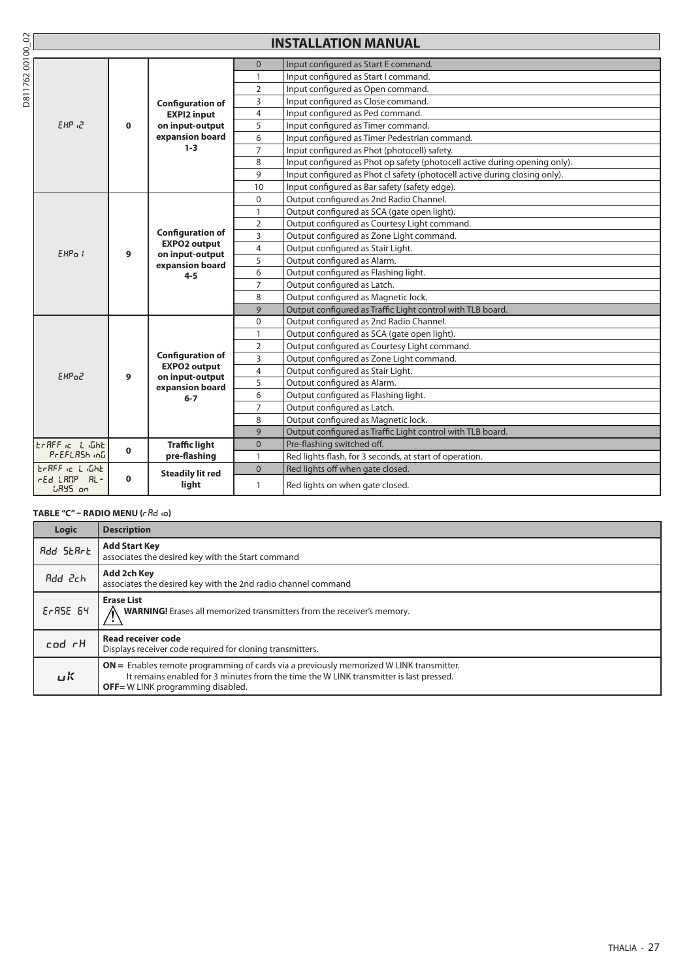|                 |                                | <b>INSTALLATION MANUAL</b> |                                                                                                 |                |                                                                            |  |  |  |  |
|-----------------|--------------------------------|----------------------------|-------------------------------------------------------------------------------------------------|----------------|----------------------------------------------------------------------------|--|--|--|--|
| D81176200100_02 |                                |                            |                                                                                                 | $\Omega$       | Input configured as Start E command.                                       |  |  |  |  |
|                 |                                |                            |                                                                                                 | $\mathbf{1}$   | Input configured as Start I command.                                       |  |  |  |  |
|                 |                                |                            |                                                                                                 | $\overline{2}$ | Input configured as Open command.                                          |  |  |  |  |
|                 |                                |                            | <b>Configuration of</b>                                                                         | 3              | Input configured as Close command.                                         |  |  |  |  |
|                 |                                |                            | <b>EXPI2 input</b>                                                                              | $\overline{4}$ | Input configured as Ped command.                                           |  |  |  |  |
|                 | SHP 12                         | $\mathbf 0$                | on input-output                                                                                 | 5              | Input configured as Timer command.                                         |  |  |  |  |
|                 |                                |                            | expansion board                                                                                 | 6              | Input configured as Timer Pedestrian command.                              |  |  |  |  |
|                 |                                |                            | $1 - 3$                                                                                         | $\overline{7}$ | Input configured as Phot (photocell) safety.                               |  |  |  |  |
|                 |                                |                            |                                                                                                 | 8              | Input configured as Phot op safety (photocell active during opening only). |  |  |  |  |
|                 |                                |                            |                                                                                                 | 9              | Input configured as Phot cl safety (photocell active during closing only). |  |  |  |  |
|                 |                                |                            |                                                                                                 | 10             | Input configured as Bar safety (safety edge).                              |  |  |  |  |
|                 |                                |                            |                                                                                                 | $\mathbf{0}$   | Output configured as 2nd Radio Channel.                                    |  |  |  |  |
|                 |                                |                            |                                                                                                 | $\mathbf{1}$   | Output configured as SCA (gate open light).                                |  |  |  |  |
|                 | EHP <sub>a</sub> I             |                            | <b>Configuration of</b><br><b>EXPO2 output</b><br>on input-output<br>expansion board<br>$4 - 5$ | $\overline{2}$ | Output configured as Courtesy Light command.                               |  |  |  |  |
|                 |                                | 9                          |                                                                                                 | 3              | Output configured as Zone Light command.                                   |  |  |  |  |
|                 |                                |                            |                                                                                                 | $\overline{4}$ | Output configured as Stair Light.                                          |  |  |  |  |
|                 |                                |                            |                                                                                                 | 5              | Output configured as Alarm.                                                |  |  |  |  |
|                 |                                |                            |                                                                                                 | 6              | Output configured as Flashing light.                                       |  |  |  |  |
|                 |                                |                            |                                                                                                 | $\overline{7}$ | Output configured as Latch.                                                |  |  |  |  |
|                 |                                |                            |                                                                                                 | 8              | Output configured as Magnetic lock.                                        |  |  |  |  |
|                 |                                |                            |                                                                                                 | 9              | Output configured as Traffic Light control with TLB board.                 |  |  |  |  |
|                 |                                |                            |                                                                                                 | 0              | Output configured as 2nd Radio Channel.                                    |  |  |  |  |
|                 |                                |                            |                                                                                                 | 1              | Output configured as SCA (gate open light).                                |  |  |  |  |
|                 |                                |                            |                                                                                                 | $\overline{2}$ | Output configured as Courtesy Light command.                               |  |  |  |  |
|                 |                                |                            | <b>Configuration of</b><br><b>EXPO2 output</b>                                                  | 3              | Output configured as Zone Light command.                                   |  |  |  |  |
|                 | EHP <sub>o</sub> 2             | 9                          | on input-output                                                                                 | $\overline{4}$ | Output configured as Stair Light.                                          |  |  |  |  |
|                 |                                |                            | expansion board                                                                                 | 5              | Output configured as Alarm.                                                |  |  |  |  |
|                 |                                |                            | $6-7$                                                                                           | 6              | Output configured as Flashing light.                                       |  |  |  |  |
|                 |                                |                            |                                                                                                 | $\overline{7}$ | Output configured as Latch.                                                |  |  |  |  |
|                 |                                |                            |                                                                                                 | 8              | Output configured as Magnetic lock.                                        |  |  |  |  |
|                 |                                |                            |                                                                                                 | 9              | Output configured as Traffic Light control with TLB board.                 |  |  |  |  |
|                 | EARFF is L iGhE                | $\mathbf{0}$               | <b>Traffic light</b>                                                                            | $\overline{0}$ | Pre-flashing switched off.                                                 |  |  |  |  |
|                 | PrEFLASh inG                   |                            | pre-flashing                                                                                    | $\mathbf{1}$   | Red lights flash, for 3 seconds, at start of operation.                    |  |  |  |  |
|                 | ECREE IC L IGHE                |                            | <b>Steadily lit red</b>                                                                         | $\overline{0}$ | Red lights off when gate closed.                                           |  |  |  |  |
|                 | rEd LANP AL-<br><b>LRYS</b> on | $\mathbf 0$                | light                                                                                           | 1              | Red lights on when gate closed.                                            |  |  |  |  |

#### **TABLE "C" – RADIO MENU (** $rRd$  $\omega$ **)**

| Logic             | <b>Description</b>                                                                                                                                                                                                               |
|-------------------|----------------------------------------------------------------------------------------------------------------------------------------------------------------------------------------------------------------------------------|
| <b>Add SEArt</b>  | <b>Add Start Key</b><br>associates the desired key with the Start command                                                                                                                                                        |
| Rdd 2ch           | Add 2ch Key<br>associates the desired key with the 2nd radio channel command                                                                                                                                                     |
| $E$ r $RSE$ $S$ 4 | <b>Erase List</b><br><b>WARNING!</b> Erases all memorized transmitters from the receiver's memory.                                                                                                                               |
| cod rH            | Read receiver code<br>Displays receiver code required for cloning transmitters.                                                                                                                                                  |
| ロド                | $ON =$ Enables remote programming of cards via a previously memorized W LINK transmitter.<br>It remains enabled for 3 minutes from the time the W LINK transmitter is last pressed.<br><b>OFF</b> = W LINK programming disabled. |